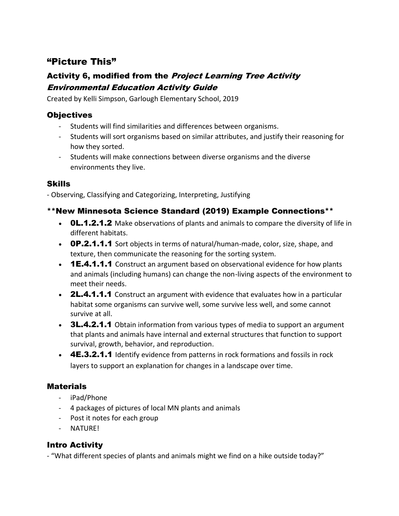# "Picture This"

## Activity 6, modified from the Project Learning Tree Activity Environmental Education Activity Guide

Created by Kelli Simpson, Garlough Elementary School, 2019

## **Objectives**

- Students will find similarities and differences between organisms.
- Students will sort organisms based on similar attributes, and justify their reasoning for how they sorted.
- Students will make connections between diverse organisms and the diverse environments they live.

#### Skills

- Observing, Classifying and Categorizing, Interpreting, Justifying

## \*\*New Minnesota Science Standard (2019) Example Connections\*\*

- **OL.1.2.1.2** Make observations of plants and animals to compare the diversity of life in different habitats.
- **OP.2.1.1.1** Sort objects in terms of natural/human-made, color, size, shape, and texture, then communicate the reasoning for the sorting system.
- **1E.4.1.1.1** Construct an argument based on observational evidence for how plants and animals (including humans) can change the non-living aspects of the environment to meet their needs.
- **2L.4.1.1.1** Construct an argument with evidence that evaluates how in a particular habitat some organisms can survive well, some survive less well, and some cannot survive at all.
- 3L.4.2.1.1 Obtain information from various types of media to support an argument that plants and animals have internal and external structures that function to support survival, growth, behavior, and reproduction.
- 4E.3.2.1.1 Identify evidence from patterns in rock formations and fossils in rock layers to support an explanation for changes in a landscape over time.

## **Materials**

- iPad/Phone
- 4 packages of pictures of local MN plants and animals
- Post it notes for each group
- NATURE!

## Intro Activity

- "What different species of plants and animals might we find on a hike outside today?"